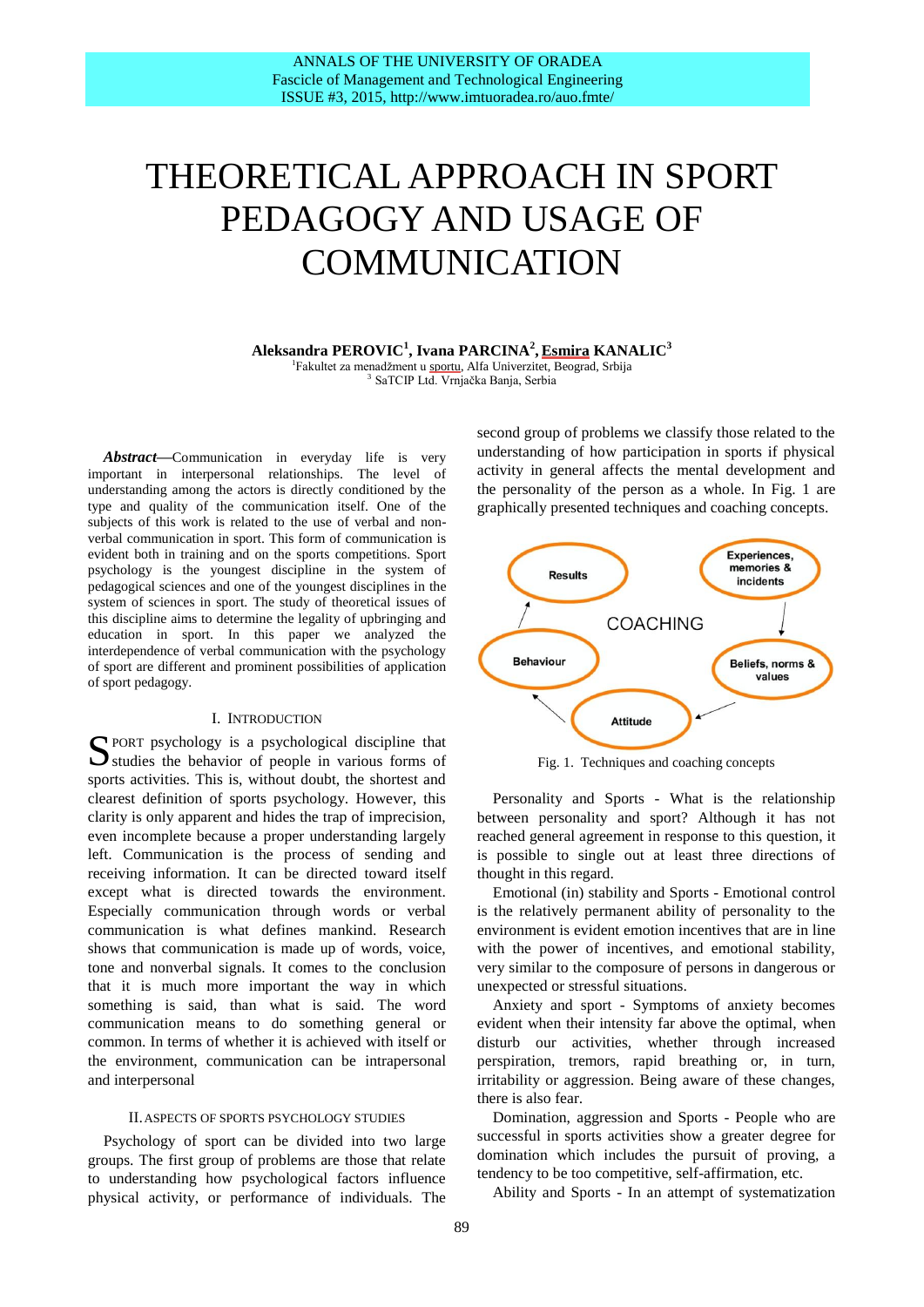# THEORETICAL APPROACH IN SPORT PEDAGOGY AND USAGE OF COMMUNICATION

**Aleksandra PEROVIC<sup>1</sup> , Ivana PARCINA 2 , Esmira KANALIC<sup>3</sup>**

<sup>1</sup>Fakultet za menadžment u sportu, Alfa Univerzitet, Beograd, Srbija 3 SaTCIP Ltd. Vrnjačka Banja, Serbia

*Abstract***—**Communication in everyday life is very important in interpersonal relationships. The level of understanding among the actors is directly conditioned by the type and quality of the communication itself. One of the subjects of this work is related to the use of verbal and nonverbal communication in sport. This form of communication is evident both in training and on the sports competitions. Sport psychology is the youngest discipline in the system of pedagogical sciences and one of the youngest disciplines in the system of sciences in sport. The study of theoretical issues of this discipline aims to determine the legality of upbringing and education in sport. In this paper we analyzed the interdependence of verbal communication with the psychology of sport are different and prominent possibilities of application of sport pedagogy.

#### I. INTRODUCTION

SPORT psychology is a psychological discipline that Studies the behavior of people in various forms of  $\sum$  studies the behavior of people in various forms of sports activities. This is, without doubt, the shortest and clearest definition of sports psychology. However, this clarity is only apparent and hides the trap of imprecision, even incomplete because a proper understanding largely left. Communication is the process of sending and receiving information. It can be directed toward itself except what is directed towards the environment. Especially communication through words or verbal communication is what defines mankind. Research shows that communication is made up of words, voice, tone and nonverbal signals. It comes to the conclusion that it is much more important the way in which something is said, than what is said. The word communication means to do something general or common. In terms of whether it is achieved with itself or the environment, communication can be intrapersonal and interpersonal

#### II.ASPECTS OF SPORTS PSYCHOLOGY STUDIES

Psychology of sport can be divided into two large groups. The first group of problems are those that relate to understanding how psychological factors influence physical activity, or performance of individuals. The second group of problems we classify those related to the understanding of how participation in sports if physical activity in general affects the mental development and the personality of the person as a whole. In Fig. 1 are graphically presented techniques and coaching concepts.



Fig. 1. Techniques and coaching concepts

Personality and Sports - What is the relationship between personality and sport? Although it has not reached general agreement in response to this question, it is possible to single out at least three directions of thought in this regard.

Emotional (in) stability and Sports - Emotional control is the relatively permanent ability of personality to the environment is evident emotion incentives that are in line with the power of incentives, and emotional stability, very similar to the composure of persons in dangerous or unexpected or stressful situations.

Anxiety and sport - Symptoms of anxiety becomes evident when their intensity far above the optimal, when disturb our activities, whether through increased perspiration, tremors, rapid breathing or, in turn, irritability or aggression. Being aware of these changes, there is also fear.

Domination, aggression and Sports - People who are successful in sports activities show a greater degree for domination which includes the pursuit of proving, a tendency to be too competitive, self-affirmation, etc.

Ability and Sports - In an attempt of systematization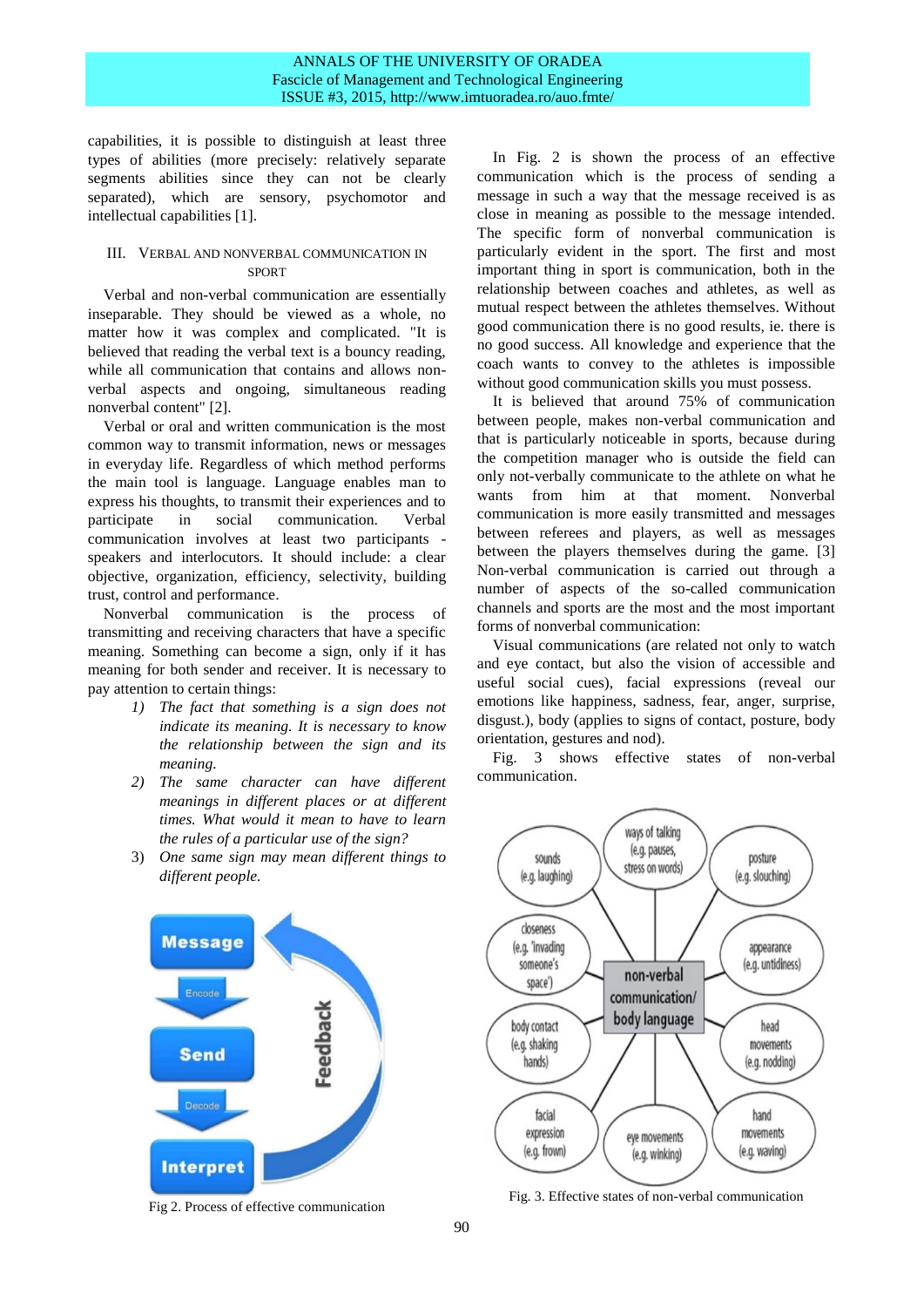capabilities, it is possible to distinguish at least three types of abilities (more precisely: relatively separate segments abilities since they can not be clearly separated), which are sensory, psychomotor and intellectual capabilities [1].

## III. VERBAL AND NONVERBAL COMMUNICATION IN **SPORT**

Verbal and non-verbal communication are essentially inseparable. They should be viewed as a whole, no matter how it was complex and complicated. "It is believed that reading the verbal text is a bouncy reading, while all communication that contains and allows nonverbal aspects and ongoing, simultaneous reading nonverbal content" [2].

Verbal or oral and written communication is the most common way to transmit information, news or messages in everyday life. Regardless of which method performs the main tool is language. Language enables man to express his thoughts, to transmit their experiences and to participate in social communication. Verbal communication involves at least two participants speakers and interlocutors. It should include: a clear objective, organization, efficiency, selectivity, building trust, control and performance.

Nonverbal communication is the process of transmitting and receiving characters that have a specific meaning. Something can become a sign, only if it has meaning for both sender and receiver. It is necessary to pay attention to certain things:

- *1) The fact that something is a sign does not indicate its meaning. It is necessary to know the relationship between the sign and its meaning.*
- *2) The same character can have different meanings in different places or at different times. What would it mean to have to learn the rules of a particular use of the sign?*
- 3) *One same sign may mean different things to different people.*

**Message** Feedback **Send Interpret** 

Fig 2. Process of effective communication

In Fig. 2 is shown the process of an effective communication which is the process of sending a message in such a way that the message received is as close in meaning as possible to the message intended. The specific form of nonverbal communication is particularly evident in the sport. The first and most important thing in sport is communication, both in the relationship between coaches and athletes, as well as mutual respect between the athletes themselves. Without good communication there is no good results, ie. there is no good success. All knowledge and experience that the coach wants to convey to the athletes is impossible without good communication skills you must possess.

It is believed that around 75% of communication between people, makes non-verbal communication and that is particularly noticeable in sports, because during the competition manager who is outside the field can only not-verbally communicate to the athlete on what he wants from him at that moment. Nonverbal communication is more easily transmitted and messages between referees and players, as well as messages between the players themselves during the game. [3] Non-verbal communication is carried out through a number of aspects of the so-called communication channels and sports are the most and the most important forms of nonverbal communication:

Visual communications (are related not only to watch and eye contact, but also the vision of accessible and useful social cues), facial expressions (reveal our emotions like happiness, sadness, fear, anger, surprise, disgust.), body (applies to signs of contact, posture, body orientation, gestures and nod).

Fig. 3 shows effective states of non-verbal communication.



Fig. 3. Effective states of non-verbal communication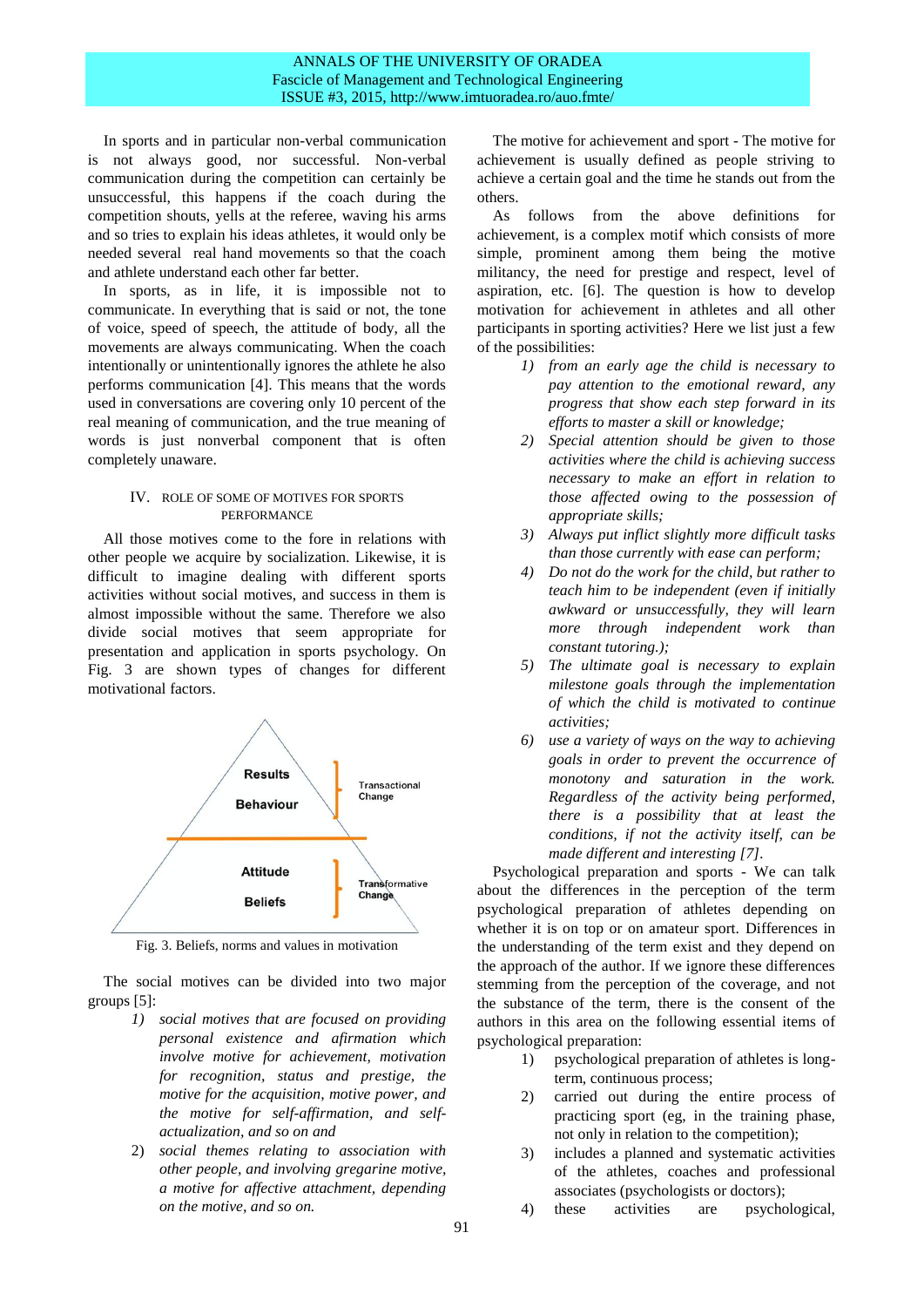## ANNALS OF THE UNIVERSITY OF ORADEA Fascicle of Management and Technological Engineering ISSUE #3, 2015, http://www.imtuoradea.ro/auo.fmte/

In sports and in particular non-verbal communication is not always good, nor successful. Non-verbal communication during the competition can certainly be unsuccessful, this happens if the coach during the competition shouts, yells at the referee, waving his arms and so tries to explain his ideas athletes, it would only be needed several real hand movements so that the coach and athlete understand each other far better.

In sports, as in life, it is impossible not to communicate. In everything that is said or not, the tone of voice, speed of speech, the attitude of body, all the movements are always communicating. When the coach intentionally or unintentionally ignores the athlete he also performs communication [4]. This means that the words used in conversations are covering only 10 percent of the real meaning of communication, and the true meaning of words is just nonverbal component that is often completely unaware.

#### IV. ROLE OF SOME OF MOTIVES FOR SPORTS PERFORMANCE

All those motives come to the fore in relations with other people we acquire by socialization. Likewise, it is difficult to imagine dealing with different sports activities without social motives, and success in them is almost impossible without the same. Therefore we also divide social motives that seem appropriate for presentation and application in sports psychology. On Fig. 3 are shown types of changes for different motivational factors.



Fig. 3. Beliefs, norms and values in motivation

The social motives can be divided into two major groups [5]:

- *1) social motives that are focused on providing personal existence and afirmation which involve motive for achievement, motivation for recognition, status and prestige, the motive for the acquisition, motive power, and the motive for self-affirmation, and selfactualization, and so on and*
- 2) *social themes relating to association with other people, and involving gregarine motive, a motive for affective attachment, depending on the motive, and so on.*

The motive for achievement and sport - The motive for achievement is usually defined as people striving to achieve a certain goal and the time he stands out from the others.

As follows from the above definitions for achievement, is a complex motif which consists of more simple, prominent among them being the motive militancy, the need for prestige and respect, level of aspiration, etc. [6]. The question is how to develop motivation for achievement in athletes and all other participants in sporting activities? Here we list just a few of the possibilities:

- *1) from an early age the child is necessary to pay attention to the emotional reward, any progress that show each step forward in its efforts to master a skill or knowledge;*
- *2) Special attention should be given to those activities where the child is achieving success necessary to make an effort in relation to those affected owing to the possession of appropriate skills;*
- *3) Always put inflict slightly more difficult tasks than those currently with ease can perform;*
- *4) Do not do the work for the child, but rather to teach him to be independent (even if initially awkward or unsuccessfully, they will learn more through independent work than constant tutoring.);*
- *5) The ultimate goal is necessary to explain milestone goals through the implementation of which the child is motivated to continue activities;*
- *6) use a variety of ways on the way to achieving goals in order to prevent the occurrence of monotony and saturation in the work. Regardless of the activity being performed, there is a possibility that at least the conditions, if not the activity itself, can be made different and interesting [7].*

Psychological preparation and sports - We can talk about the differences in the perception of the term psychological preparation of athletes depending on whether it is on top or on amateur sport. Differences in the understanding of the term exist and they depend on the approach of the author. If we ignore these differences stemming from the perception of the coverage, and not the substance of the term, there is the consent of the authors in this area on the following essential items of psychological preparation:

- 1) psychological preparation of athletes is longterm, continuous process;
- 2) carried out during the entire process of practicing sport (eg, in the training phase, not only in relation to the competition);
- 3) includes a planned and systematic activities of the athletes, coaches and professional associates (psychologists or doctors);
- 4) these activities are psychological,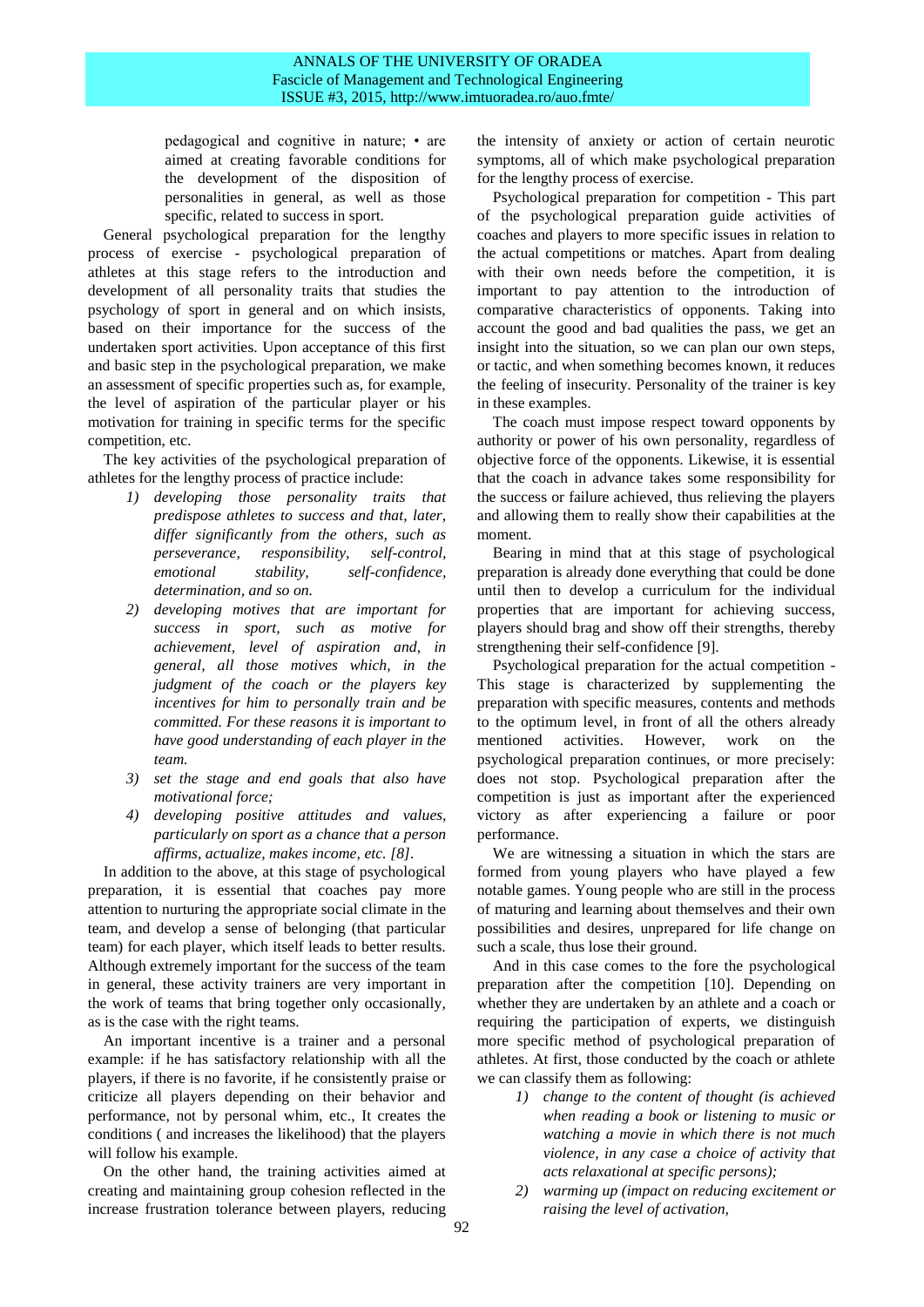## ANNALS OF THE UNIVERSITY OF ORADEA Fascicle of Management and Technological Engineering ISSUE #3, 2015, http://www.imtuoradea.ro/auo.fmte/

pedagogical and cognitive in nature; • are aimed at creating favorable conditions for the development of the disposition of personalities in general, as well as those specific, related to success in sport.

General psychological preparation for the lengthy process of exercise - psychological preparation of athletes at this stage refers to the introduction and development of all personality traits that studies the psychology of sport in general and on which insists, based on their importance for the success of the undertaken sport activities. Upon acceptance of this first and basic step in the psychological preparation, we make an assessment of specific properties such as, for example, the level of aspiration of the particular player or his motivation for training in specific terms for the specific competition, etc.

The key activities of the psychological preparation of athletes for the lengthy process of practice include:

- *1) developing those personality traits that predispose athletes to success and that, later, differ significantly from the others, such as perseverance, responsibility, self-control, emotional stability, self-confidence, determination, and so on.*
- *2) developing motives that are important for success in sport, such as motive for achievement, level of aspiration and, in general, all those motives which, in the judgment of the coach or the players key incentives for him to personally train and be committed. For these reasons it is important to have good understanding of each player in the team.*
- *3) set the stage and end goals that also have motivational force;*
- *4) developing positive attitudes and values, particularly on sport as a chance that a person affirms, actualize, makes income, etc. [8].*

In addition to the above, at this stage of psychological preparation, it is essential that coaches pay more attention to nurturing the appropriate social climate in the team, and develop a sense of belonging (that particular team) for each player, which itself leads to better results. Although extremely important for the success of the team in general, these activity trainers are very important in the work of teams that bring together only occasionally, as is the case with the right teams.

An important incentive is a trainer and a personal example: if he has satisfactory relationship with all the players, if there is no favorite, if he consistently praise or criticize all players depending on their behavior and performance, not by personal whim, etc., It creates the conditions ( and increases the likelihood) that the players will follow his example.

On the other hand, the training activities aimed at creating and maintaining group cohesion reflected in the increase frustration tolerance between players, reducing

the intensity of anxiety or action of certain neurotic symptoms, all of which make psychological preparation for the lengthy process of exercise.

Psychological preparation for competition - This part of the psychological preparation guide activities of coaches and players to more specific issues in relation to the actual competitions or matches. Apart from dealing with their own needs before the competition, it is important to pay attention to the introduction of comparative characteristics of opponents. Taking into account the good and bad qualities the pass, we get an insight into the situation, so we can plan our own steps, or tactic, and when something becomes known, it reduces the feeling of insecurity. Personality of the trainer is key in these examples.

The coach must impose respect toward opponents by authority or power of his own personality, regardless of objective force of the opponents. Likewise, it is essential that the coach in advance takes some responsibility for the success or failure achieved, thus relieving the players and allowing them to really show their capabilities at the moment.

Bearing in mind that at this stage of psychological preparation is already done everything that could be done until then to develop a curriculum for the individual properties that are important for achieving success, players should brag and show off their strengths, thereby strengthening their self-confidence [9].

Psychological preparation for the actual competition - This stage is characterized by supplementing the preparation with specific measures, contents and methods to the optimum level, in front of all the others already mentioned activities. However, work on the psychological preparation continues, or more precisely: does not stop. Psychological preparation after the competition is just as important after the experienced victory as after experiencing a failure or poor performance.

We are witnessing a situation in which the stars are formed from young players who have played a few notable games. Young people who are still in the process of maturing and learning about themselves and their own possibilities and desires, unprepared for life change on such a scale, thus lose their ground.

And in this case comes to the fore the psychological preparation after the competition [10]. Depending on whether they are undertaken by an athlete and a coach or requiring the participation of experts, we distinguish more specific method of psychological preparation of athletes. At first, those conducted by the coach or athlete we can classify them as following:

- *1) change to the content of thought (is achieved when reading a book or listening to music or watching a movie in which there is not much violence, in any case a choice of activity that acts relaxational at specific persons);*
- *2) warming up (impact on reducing excitement or raising the level of activation,*